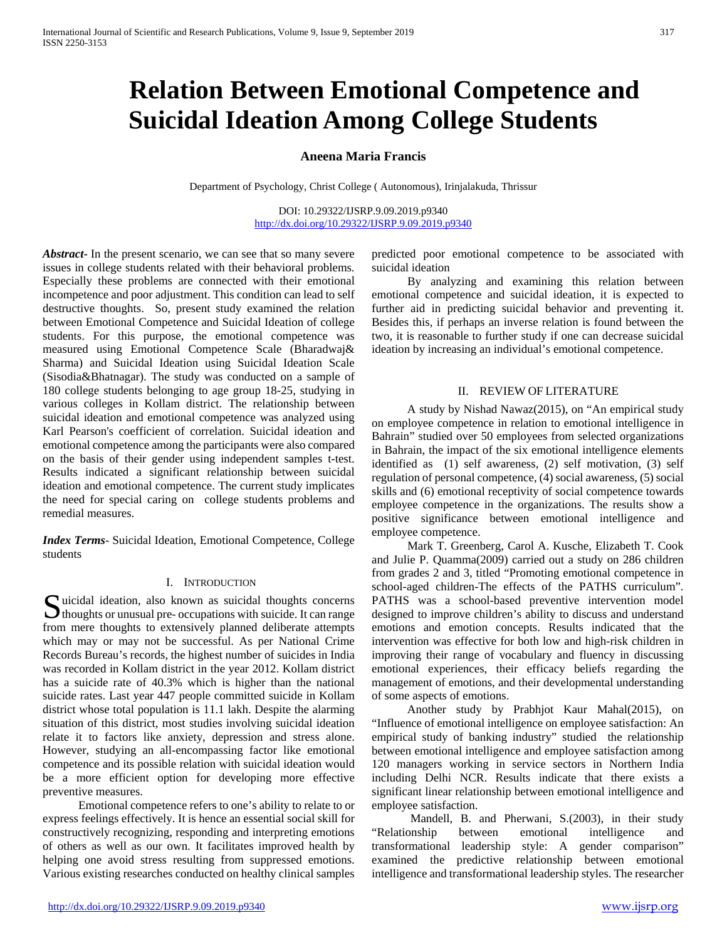# **Relation Between Emotional Competence and Suicidal Ideation Among College Students**

# **Aneena Maria Francis**

Department of Psychology, Christ College ( Autonomous), Irinjalakuda, Thrissur

DOI: 10.29322/IJSRP.9.09.2019.p9340 <http://dx.doi.org/10.29322/IJSRP.9.09.2019.p9340>

*Abstract***-** In the present scenario, we can see that so many severe issues in college students related with their behavioral problems. Especially these problems are connected with their emotional incompetence and poor adjustment. This condition can lead to self destructive thoughts. So, present study examined the relation between Emotional Competence and Suicidal Ideation of college students. For this purpose, the emotional competence was measured using Emotional Competence Scale (Bharadwaj& Sharma) and Suicidal Ideation using Suicidal Ideation Scale (Sisodia&Bhatnagar). The study was conducted on a sample of 180 college students belonging to age group 18-25, studying in various colleges in Kollam district. The relationship between suicidal ideation and emotional competence was analyzed using Karl Pearson's coefficient of correlation. Suicidal ideation and emotional competence among the participants were also compared on the basis of their gender using independent samples t-test. Results indicated a significant relationship between suicidal ideation and emotional competence. The current study implicates the need for special caring on college students problems and remedial measures.

*Index Terms*- Suicidal Ideation, Emotional Competence, College students

#### I. INTRODUCTION

Suicidal ideation, also known as suicidal thoughts concerns<br>thoughts or unusual pre- occupations with suicide. It can range  $\bigcup$  thoughts or unusual pre- occupations with suicide. It can range from mere thoughts to extensively planned deliberate attempts which may or may not be successful. As per National Crime Records Bureau's records, the highest number of suicides in India was recorded in Kollam district in the year 2012. Kollam district has a suicide rate of 40.3% which is higher than the national suicide rates. Last year 447 people committed suicide in Kollam district whose total population is 11.1 lakh. Despite the alarming situation of this district, most studies involving suicidal ideation relate it to factors like anxiety, depression and stress alone. However, studying an all-encompassing factor like emotional competence and its possible relation with suicidal ideation would be a more efficient option for developing more effective preventive measures.

 Emotional competence refers to one's ability to relate to or express feelings effectively. It is hence an essential social skill for constructively recognizing, responding and interpreting emotions of others as well as our own. It facilitates improved health by helping one avoid stress resulting from suppressed emotions. Various existing researches conducted on healthy clinical samples

predicted poor emotional competence to be associated with suicidal ideation

 By analyzing and examining this relation between emotional competence and suicidal ideation, it is expected to further aid in predicting suicidal behavior and preventing it. Besides this, if perhaps an inverse relation is found between the two, it is reasonable to further study if one can decrease suicidal ideation by increasing an individual's emotional competence.

#### II. REVIEW OF LITERATURE

 A study by Nishad Nawaz(2015), on "An empirical study on employee competence in relation to emotional intelligence in Bahrain" studied over 50 employees from selected organizations in Bahrain, the impact of the six emotional intelligence elements identified as (1) self awareness, (2) self motivation, (3) self regulation of personal competence, (4) social awareness, (5) social skills and (6) emotional receptivity of social competence towards employee competence in the organizations. The results show a positive significance between emotional intelligence and employee competence.

 Mark T. Greenberg, Carol A. Kusche, Elizabeth T. Cook and Julie P. Quamma(2009) carried out a study on 286 children from grades 2 and 3, titled "Promoting emotional competence in school-aged children-The effects of the PATHS curriculum". PATHS was a school-based preventive intervention model designed to improve children's ability to discuss and understand emotions and emotion concepts. Results indicated that the intervention was effective for both low and high-risk children in improving their range of vocabulary and fluency in discussing emotional experiences, their efficacy beliefs regarding the management of emotions, and their developmental understanding of some aspects of emotions.

 Another study by Prabhjot Kaur Mahal(2015), on "Influence of emotional intelligence on employee satisfaction: An empirical study of banking industry" studied the relationship between emotional intelligence and employee satisfaction among 120 managers working in service sectors in Northern India including Delhi NCR. Results indicate that there exists a significant linear relationship between emotional intelligence and employee satisfaction.

 Mandell, B. and Pherwani, S.(2003), in their study "Relationship between emotional intelligence and transformational leadership style: A gender comparison" examined the predictive relationship between emotional intelligence and transformational leadership styles. The researcher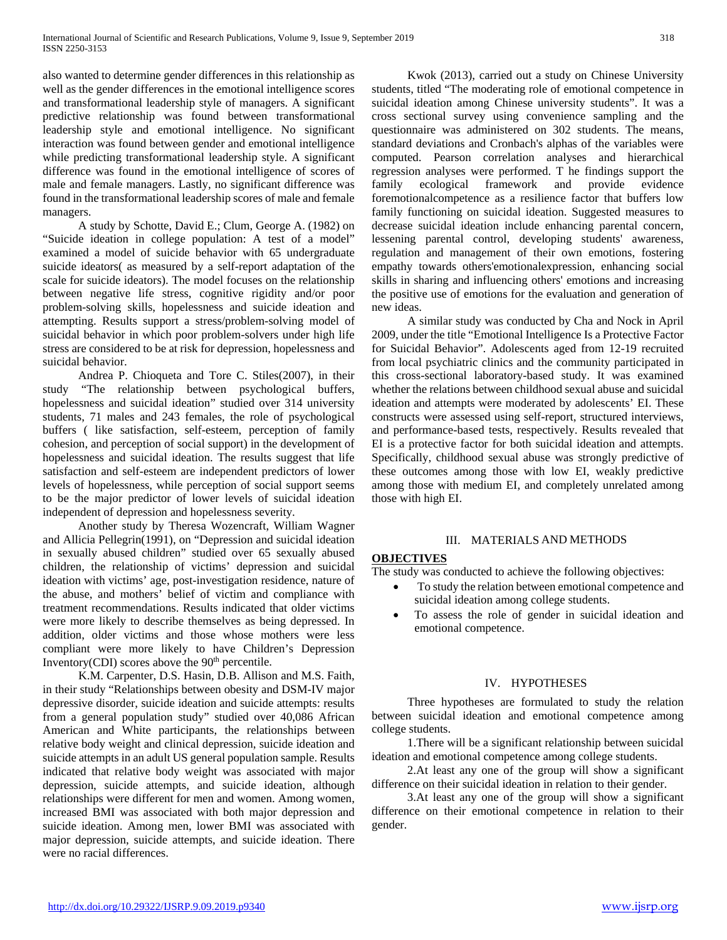also wanted to determine gender differences in this relationship as well as the gender differences in the emotional intelligence scores and transformational leadership style of managers. A significant predictive relationship was found between transformational leadership style and emotional intelligence. No significant interaction was found between gender and emotional intelligence while predicting transformational leadership style. A significant difference was found in the emotional intelligence of scores of male and female managers. Lastly, no significant difference was found in the transformational leadership scores of male and female managers.

 A study by Schotte, David E.; Clum, George A. (1982) on "Suicide ideation in college population: A test of a model" examined a model of suicide behavior with 65 undergraduate suicide ideators( as measured by a self-report adaptation of the scale for suicide ideators). The model focuses on the relationship between negative life stress, cognitive rigidity and/or poor problem-solving skills, hopelessness and suicide ideation and attempting. Results support a stress/problem-solving model of suicidal behavior in which poor problem-solvers under high life stress are considered to be at risk for depression, hopelessness and suicidal behavior.

 Andrea P. Chioqueta and Tore C. Stiles(2007), in their study "The relationship between psychological buffers, hopelessness and suicidal ideation" studied over 314 university students, 71 males and 243 females, the role of psychological buffers ( like satisfaction, self-esteem, perception of family cohesion, and perception of social support) in the development of hopelessness and suicidal ideation. The results suggest that life satisfaction and self-esteem are independent predictors of lower levels of hopelessness, while perception of social support seems to be the major predictor of lower levels of suicidal ideation independent of depression and hopelessness severity.

 Another study by Theresa Wozencraft, William Wagner and Allicia Pellegrin(1991), on "Depression and suicidal ideation in sexually abused children" studied over 65 sexually abused children, the relationship of victims' depression and suicidal ideation with victims' age, post-investigation residence, nature of the abuse, and mothers' belief of victim and compliance with treatment recommendations. Results indicated that older victims were more likely to describe themselves as being depressed. In addition, older victims and those whose mothers were less compliant were more likely to have Children's Depression Inventory(CDI) scores above the  $90<sup>th</sup>$  percentile.

 K.M. Carpenter, D.S. Hasin, D.B. Allison and M.S. Faith, in their study "Relationships between obesity and DSM-IV major depressive disorder, suicide ideation and suicide attempts: results from a general population study" studied over 40,086 African American and White participants, the relationships between relative body weight and clinical depression, suicide ideation and suicide attempts in an adult US general population sample. Results indicated that relative body weight was associated with major depression, suicide attempts, and suicide ideation, although relationships were different for men and women. Among women, increased BMI was associated with both major depression and suicide ideation. Among men, lower BMI was associated with major depression, suicide attempts, and suicide ideation. There were no racial differences.

 Kwok (2013), carried out a study on Chinese University students, titled "The moderating role of emotional competence in suicidal ideation among Chinese university students". It was a cross sectional survey using convenience sampling and the questionnaire was administered on 302 students. The means, standard deviations and Cronbach's alphas of the variables were computed. Pearson correlation analyses and hierarchical regression analyses were performed. T he findings support the family ecological framework and provide evidence foremotionalcompetence as a resilience factor that buffers low family functioning on suicidal ideation. Suggested measures to decrease suicidal ideation include enhancing parental concern, lessening parental control, developing students' awareness, regulation and management of their own emotions, fostering empathy towards others'emotionalexpression, enhancing social skills in sharing and influencing others' emotions and increasing the positive use of emotions for the evaluation and generation of new ideas.

 A similar study was conducted by Cha and Nock in April 2009, under the title "Emotional Intelligence Is a Protective Factor for Suicidal Behavior". Adolescents aged from 12-19 recruited from local psychiatric clinics and the community participated in this cross-sectional laboratory-based study. It was examined whether the relations between childhood sexual abuse and suicidal ideation and attempts were moderated by adolescents' EI. These constructs were assessed using self-report, structured interviews, and performance-based tests, respectively. Results revealed that EI is a protective factor for both suicidal ideation and attempts. Specifically, childhood sexual abuse was strongly predictive of these outcomes among those with low EI, weakly predictive among those with medium EI, and completely unrelated among those with high EI.

## III. MATERIALS AND METHODS

# **OBJECTIVES**

The study was conducted to achieve the following objectives:

- To study the relation between emotional competence and suicidal ideation among college students.
- To assess the role of gender in suicidal ideation and emotional competence.

## IV. HYPOTHESES

 Three hypotheses are formulated to study the relation between suicidal ideation and emotional competence among college students.

 1.There will be a significant relationship between suicidal ideation and emotional competence among college students.

 2.At least any one of the group will show a significant difference on their suicidal ideation in relation to their gender.

 3.At least any one of the group will show a significant difference on their emotional competence in relation to their gender.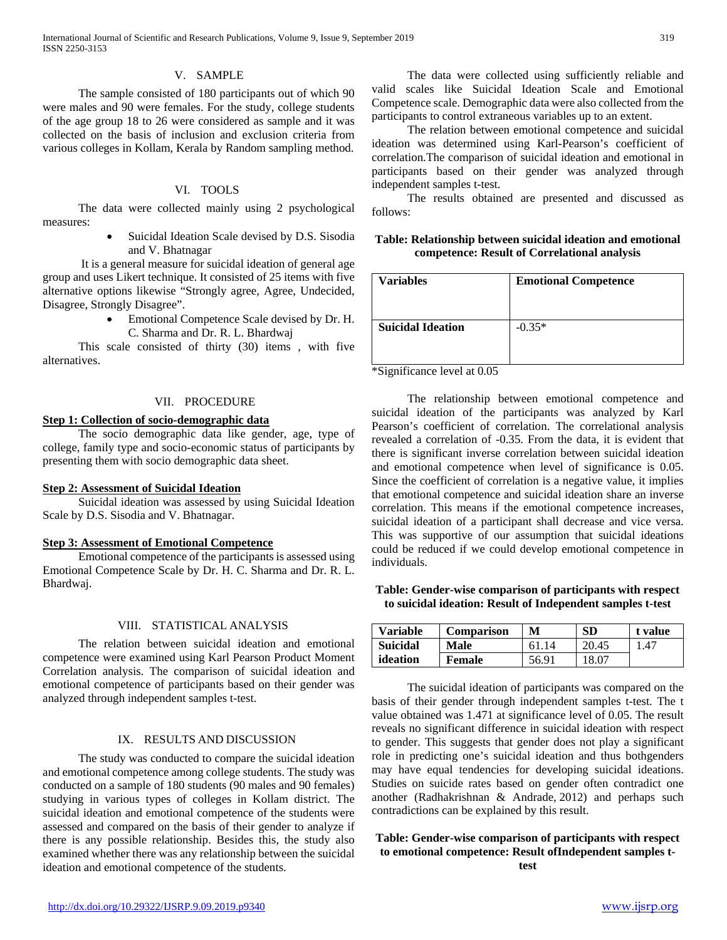#### V. SAMPLE

 The sample consisted of 180 participants out of which 90 were males and 90 were females. For the study, college students of the age group 18 to 26 were considered as sample and it was collected on the basis of inclusion and exclusion criteria from various colleges in Kollam, Kerala by Random sampling method.

# VI. TOOLS

 The data were collected mainly using 2 psychological measures:

> Suicidal Ideation Scale devised by D.S. Sisodia and V. Bhatnagar

 It is a general measure for suicidal ideation of general age group and uses Likert technique. It consisted of 25 items with five alternative options likewise "Strongly agree, Agree, Undecided, Disagree, Strongly Disagree".

> • Emotional Competence Scale devised by Dr. H. C. Sharma and Dr. R. L. Bhardwaj

 This scale consisted of thirty (30) items , with five alternatives.

#### VII. PROCEDURE

#### **Step 1: Collection of socio-demographic data**

 The socio demographic data like gender, age, type of college, family type and socio-economic status of participants by presenting them with socio demographic data sheet.

#### **Step 2: Assessment of Suicidal Ideation**

 Suicidal ideation was assessed by using Suicidal Ideation Scale by D.S. Sisodia and V. Bhatnagar.

#### **Step 3: Assessment of Emotional Competence**

 Emotional competence of the participants is assessed using Emotional Competence Scale by Dr. H. C. Sharma and Dr. R. L. Bhardwaj.

# VIII. STATISTICAL ANALYSIS

 The relation between suicidal ideation and emotional competence were examined using Karl Pearson Product Moment Correlation analysis. The comparison of suicidal ideation and emotional competence of participants based on their gender was analyzed through independent samples t-test.

#### IX. RESULTS AND DISCUSSION

 The study was conducted to compare the suicidal ideation and emotional competence among college students. The study was conducted on a sample of 180 students (90 males and 90 females) studying in various types of colleges in Kollam district. The suicidal ideation and emotional competence of the students were assessed and compared on the basis of their gender to analyze if there is any possible relationship. Besides this, the study also examined whether there was any relationship between the suicidal ideation and emotional competence of the students.

 The data were collected using sufficiently reliable and valid scales like Suicidal Ideation Scale and Emotional Competence scale. Demographic data were also collected from the participants to control extraneous variables up to an extent.

 The relation between emotional competence and suicidal ideation was determined using Karl-Pearson's coefficient of correlation.The comparison of suicidal ideation and emotional in participants based on their gender was analyzed through independent samples t-test.

 The results obtained are presented and discussed as follows:

# **Table: Relationship between suicidal ideation and emotional competence: Result of Correlational analysis**

| <b>Variables</b>         | <b>Emotional Competence</b> |
|--------------------------|-----------------------------|
| <b>Suicidal Ideation</b> | $-0.35*$                    |

\*Significance level at 0.05

 The relationship between emotional competence and suicidal ideation of the participants was analyzed by Karl Pearson's coefficient of correlation. The correlational analysis revealed a correlation of -0.35. From the data, it is evident that there is significant inverse correlation between suicidal ideation and emotional competence when level of significance is 0.05. Since the coefficient of correlation is a negative value, it implies that emotional competence and suicidal ideation share an inverse correlation. This means if the emotional competence increases, suicidal ideation of a participant shall decrease and vice versa. This was supportive of our assumption that suicidal ideations could be reduced if we could develop emotional competence in individuals.

# **Table: Gender-wise comparison of participants with respect to suicidal ideation: Result of Independent samples t-test**

| <b>Variable</b> | <b>Comparison</b> | M     | <b>SD</b> | t value |
|-----------------|-------------------|-------|-----------|---------|
| Suicidal        | Male              | 61 14 | 20.45     | 1.47    |
| ideation        | Female            | 56.91 | 18.07     |         |

 The suicidal ideation of participants was compared on the basis of their gender through independent samples t-test. The t value obtained was 1.471 at significance level of 0.05. The result reveals no significant difference in suicidal ideation with respect to gender. This suggests that gender does not play a significant role in predicting one's suicidal ideation and thus bothgenders may have equal tendencies for developing suicidal ideations. Studies on suicide rates based on gender often contradict one another (Radhakrishnan & Andrade, 2012) and perhaps such contradictions can be explained by this result.

#### **Table: Gender-wise comparison of participants with respect to emotional competence: Result ofIndependent samples ttest**